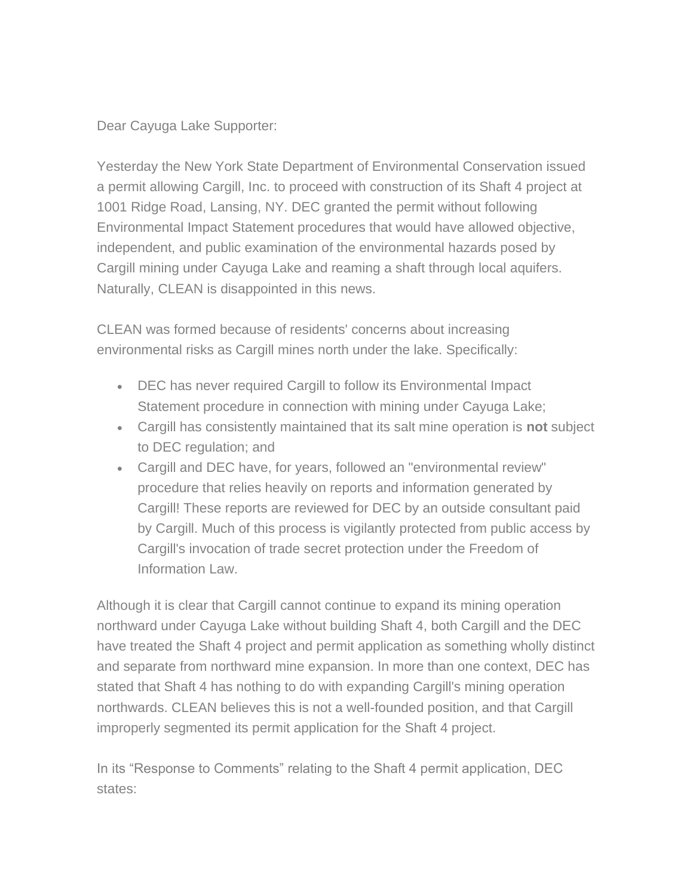Dear Cayuga Lake Supporter:

Yesterday the New York State Department of Environmental Conservation issued a permit allowing Cargill, Inc. to proceed with construction of its Shaft 4 project at 1001 Ridge Road, Lansing, NY. DEC granted the permit without following Environmental Impact Statement procedures that would have allowed objective, independent, and public examination of the environmental hazards posed by Cargill mining under Cayuga Lake and reaming a shaft through local aquifers. Naturally, CLEAN is disappointed in this news.

CLEAN was formed because of residents' concerns about increasing environmental risks as Cargill mines north under the lake. Specifically:

- DEC has never required Cargill to follow its Environmental Impact Statement procedure in connection with mining under Cayuga Lake;
- Cargill has consistently maintained that its salt mine operation is **not** subject to DEC regulation; and
- Cargill and DEC have, for years, followed an "environmental review" procedure that relies heavily on reports and information generated by Cargill! These reports are reviewed for DEC by an outside consultant paid by Cargill. Much of this process is vigilantly protected from public access by Cargill's invocation of trade secret protection under the Freedom of Information Law.

Although it is clear that Cargill cannot continue to expand its mining operation northward under Cayuga Lake without building Shaft 4, both Cargill and the DEC have treated the Shaft 4 project and permit application as something wholly distinct and separate from northward mine expansion. In more than one context, DEC has stated that Shaft 4 has nothing to do with expanding Cargill's mining operation northwards. CLEAN believes this is not a well-founded position, and that Cargill improperly segmented its permit application for the Shaft 4 project.

In its "Response to Comments" relating to the Shaft 4 permit application, DEC states: